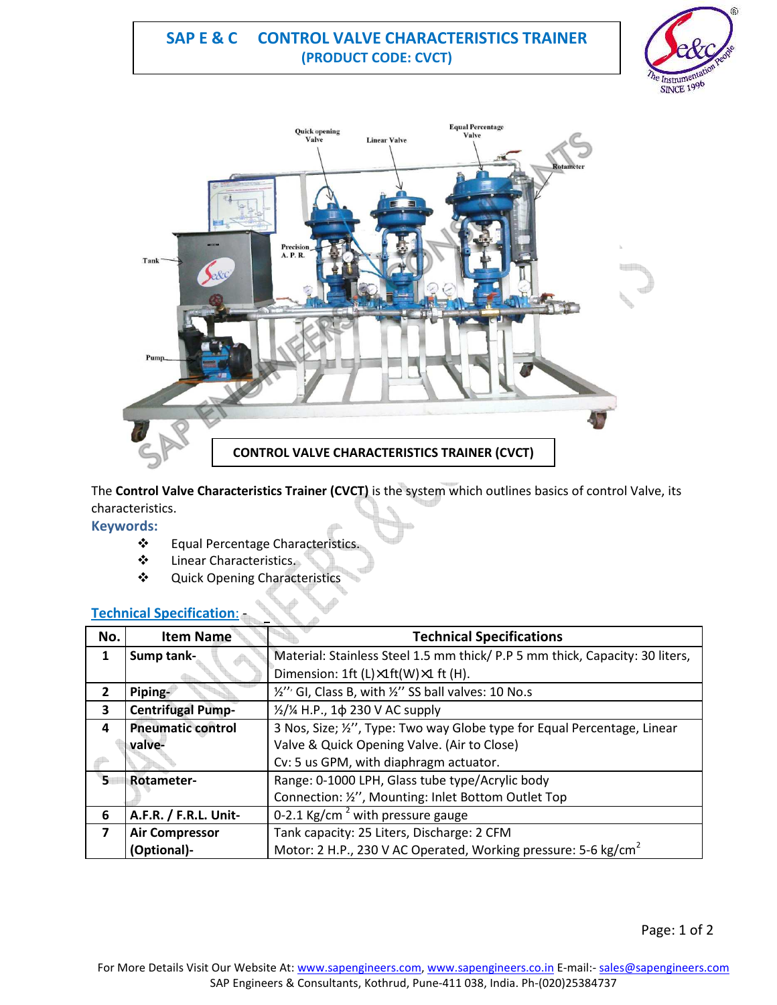# **SAP E & C CONTROL VALVE CHARACTERISTICS TRAINER (PRODUCT CODE: CVCT)**





The **Control Valve Characteristics Trainer (CVCT)** is the system which outlines basics of control Valve, its characteristics.

**Keywords:** 

- Equal Percentage Characteristics.
- Linear Characteristics.
- Quick Opening Characteristics

## **Technical Specification**: -

| No.                     | <b>Item Name</b>         | <b>Technical Specifications</b>                                              |
|-------------------------|--------------------------|------------------------------------------------------------------------------|
| 1                       | Sump tank-               | Material: Stainless Steel 1.5 mm thick/ P.P 5 mm thick, Capacity: 30 liters, |
|                         |                          | Dimension: 1ft (L)×1ft(W)×1 ft (H).                                          |
| $\overline{2}$          | Piping-                  | 10 No.s (10 No.s B, with 1/2" SS ball valves: 10 No.s                        |
| 3                       | <b>Centrifugal Pump-</b> | $\frac{1}{2}/\frac{1}{4}$ H.P., 1 $\phi$ 230 V AC supply                     |
| 4                       | <b>Pneumatic control</b> | 3 Nos, Size; %", Type: Two way Globe type for Equal Percentage, Linear       |
|                         | valve-                   | Valve & Quick Opening Valve. (Air to Close)                                  |
|                         |                          | Cv: 5 us GPM, with diaphragm actuator.                                       |
| 5                       | <b>Rotameter-</b>        | Range: 0-1000 LPH, Glass tube type/Acrylic body                              |
|                         |                          | Connection: 1/2", Mounting: Inlet Bottom Outlet Top                          |
| 6                       | A.F.R. / F.R.L. Unit-    | 0-2.1 Kg/cm <sup>2</sup> with pressure gauge                                 |
| $\overline{\mathbf{z}}$ | <b>Air Compressor</b>    | Tank capacity: 25 Liters, Discharge: 2 CFM                                   |
|                         | <b>Optional</b> )-       | Motor: 2 H.P., 230 V AC Operated, Working pressure: 5-6 kg/cm <sup>2</sup>   |

Page: 1 of 2